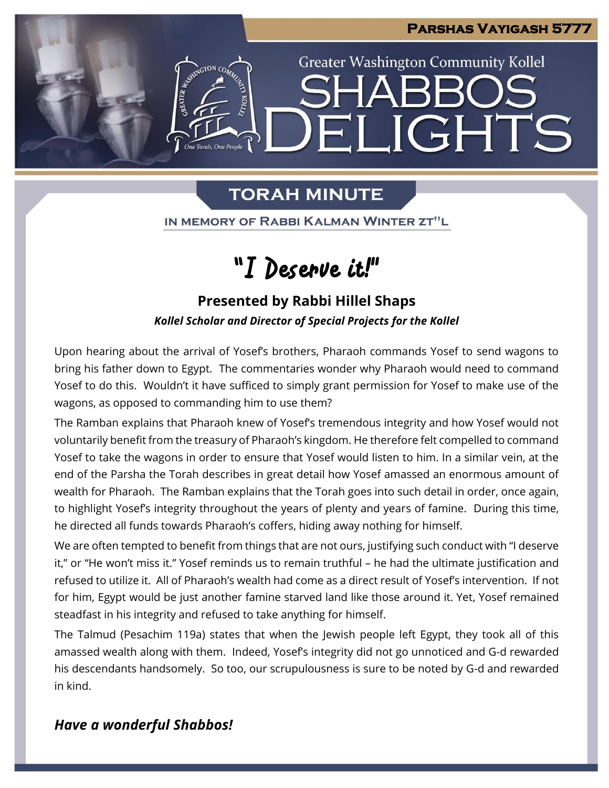

**Greater Washington Community Kollel** 

ELIGHTS

## **TORAH MINUTE**

One Torah. One People

IN MEMORY OF RABBI KALMAN WINTER ZT"L

# "I Deserve it!"

### **Presented by Rabbi Hillel Shaps**

*Kollel Scholar and Director of Special Projects for the Kollel*

Upon hearing about the arrival of Yosef's brothers, Pharaoh commands Yosef to send wagons to bring his father down to Egypt. The commentaries wonder why Pharaoh would need to command Yosef to do this. Wouldn't it have sufficed to simply grant permission for Yosef to make use of the wagons, as opposed to commanding him to use them?

The Ramban explains that Pharaoh knew of Yosef's tremendous integrity and how Yosef would not voluntarily benefit from the treasury of Pharaoh's kingdom. He therefore felt compelled to command Yosef to take the wagons in order to ensure that Yosef would listen to him. In a similar vein, at the end of the Parsha the Torah describes in great detail how Yosef amassed an enormous amount of wealth for Pharaoh. The Ramban explains that the Torah goes into such detail in order, once again, to highlight Yosef's integrity throughout the years of plenty and years of famine. During this time, he directed all funds towards Pharaoh's coffers, hiding away nothing for himself.

We are often tempted to benefit from things that are not ours, justifying such conduct with "I deserve it," or "He won't miss it." Yosef reminds us to remain truthful – he had the ultimate justification and refused to utilize it. All of Pharaoh's wealth had come as a direct result of Yosef's intervention. If not for him, Egypt would be just another famine starved land like those around it. Yet, Yosef remained steadfast in his integrity and refused to take anything for himself.

The Talmud (Pesachim 119a) states that when the Jewish people left Egypt, they took all of this amassed wealth along with them. Indeed, Yosef's integrity did not go unnoticed and G-d rewarded his descendants handsomely. So too, our scrupulousness is sure to be noted by G-d and rewarded in kind.

### *Have a wonderful Shabbos!*